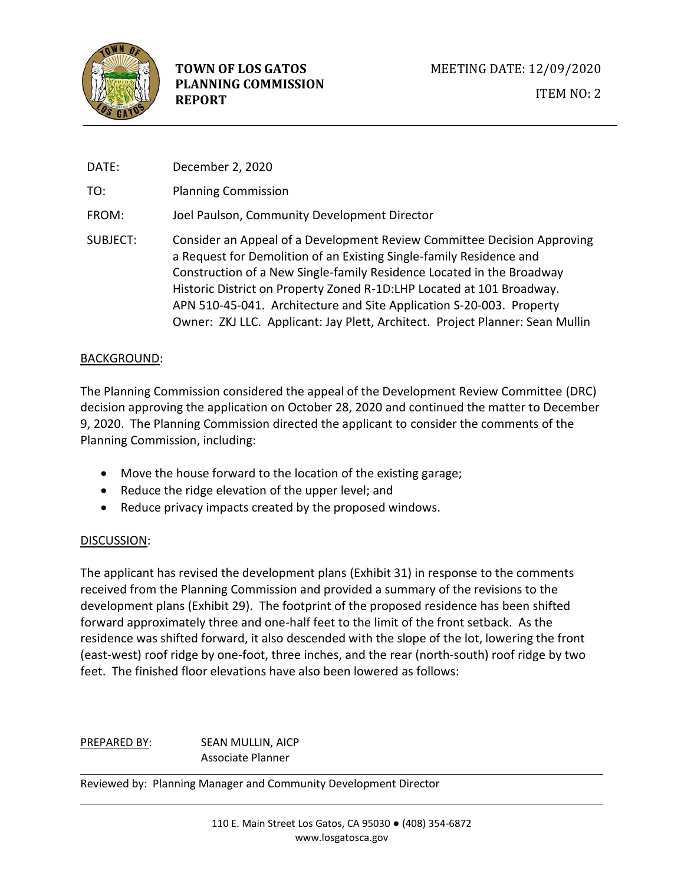

| DATE:    | December 2, 2020                                                                                                                                                                                                                                                                                                                                                                                                                                          |  |  |
|----------|-----------------------------------------------------------------------------------------------------------------------------------------------------------------------------------------------------------------------------------------------------------------------------------------------------------------------------------------------------------------------------------------------------------------------------------------------------------|--|--|
| TO:      | <b>Planning Commission</b>                                                                                                                                                                                                                                                                                                                                                                                                                                |  |  |
| FROM:    | Joel Paulson, Community Development Director                                                                                                                                                                                                                                                                                                                                                                                                              |  |  |
| SUBJECT: | Consider an Appeal of a Development Review Committee Decision Approving<br>a Request for Demolition of an Existing Single-family Residence and<br>Construction of a New Single-family Residence Located in the Broadway<br>Historic District on Property Zoned R-1D:LHP Located at 101 Broadway.<br>APN 510-45-041. Architecture and Site Application S-20-003. Property<br>Owner: ZKJ LLC. Applicant: Jay Plett, Architect. Project Planner: Sean Mullin |  |  |

## BACKGROUND:

The Planning Commission considered the appeal of the Development Review Committee (DRC) decision approving the application on October 28, 2020 and continued the matter to December 9, 2020. The Planning Commission directed the applicant to consider the comments of the Planning Commission, including:

- Move the house forward to the location of the existing garage;
- Reduce the ridge elevation of the upper level; and
- Reduce privacy impacts created by the proposed windows.

## DISCUSSION:

The applicant has revised the development plans (Exhibit 31) in response to the comments received from the Planning Commission and provided a summary of the revisions to the development plans (Exhibit 29). The footprint of the proposed residence has been shifted forward approximately three and one-half feet to the limit of the front setback. As the residence was shifted forward, it also descended with the slope of the lot, lowering the front (east-west) roof ridge by one-foot, three inches, and the rear (north-south) roof ridge by two feet. The finished floor elevations have also been lowered as follows:

## PREPARED BY: SEAN MULLIN, AICP Associate Planner

Reviewed by: Planning Manager and Community Development Director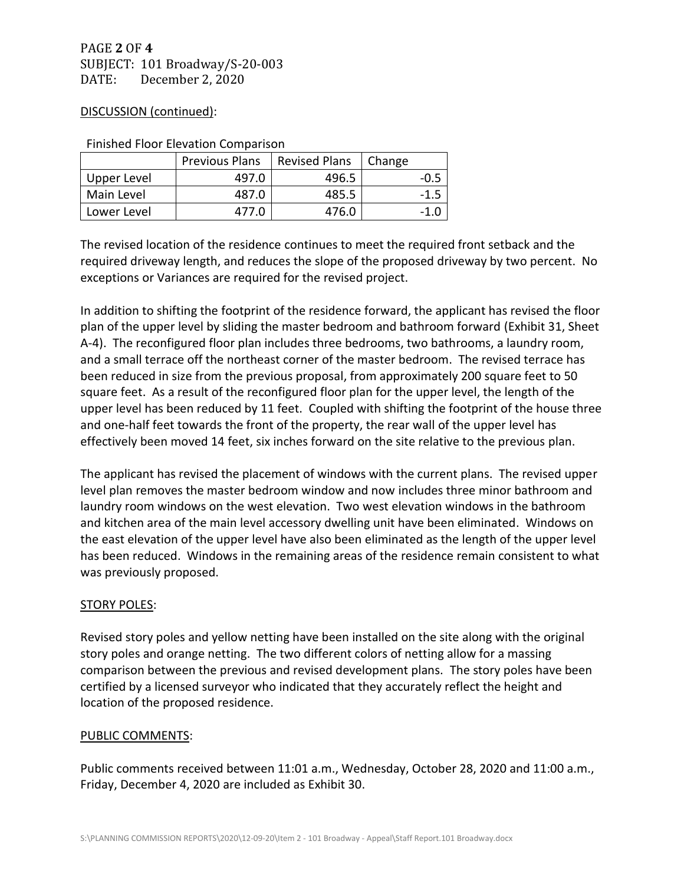#### DISCUSSION (continued):

|             | <b>Previous Plans</b> | <b>Revised Plans</b> | Change |  |
|-------------|-----------------------|----------------------|--------|--|
| Upper Level | 497.0                 | 496.5                | $-0.5$ |  |
| Main Level  | 487.0                 | 485.5                | -1.5   |  |
| Lower Level | 477.0                 | 476.0                |        |  |

Finished Floor Elevation Comparison

The revised location of the residence continues to meet the required front setback and the required driveway length, and reduces the slope of the proposed driveway by two percent. No exceptions or Variances are required for the revised project.

In addition to shifting the footprint of the residence forward, the applicant has revised the floor plan of the upper level by sliding the master bedroom and bathroom forward (Exhibit 31, Sheet A-4). The reconfigured floor plan includes three bedrooms, two bathrooms, a laundry room, and a small terrace off the northeast corner of the master bedroom. The revised terrace has been reduced in size from the previous proposal, from approximately 200 square feet to 50 square feet. As a result of the reconfigured floor plan for the upper level, the length of the upper level has been reduced by 11 feet. Coupled with shifting the footprint of the house three and one-half feet towards the front of the property, the rear wall of the upper level has effectively been moved 14 feet, six inches forward on the site relative to the previous plan.

The applicant has revised the placement of windows with the current plans. The revised upper level plan removes the master bedroom window and now includes three minor bathroom and laundry room windows on the west elevation. Two west elevation windows in the bathroom and kitchen area of the main level accessory dwelling unit have been eliminated. Windows on the east elevation of the upper level have also been eliminated as the length of the upper level has been reduced. Windows in the remaining areas of the residence remain consistent to what was previously proposed.

## STORY POLES:

Revised story poles and yellow netting have been installed on the site along with the original story poles and orange netting. The two different colors of netting allow for a massing comparison between the previous and revised development plans. The story poles have been certified by a licensed surveyor who indicated that they accurately reflect the height and location of the proposed residence.

## PUBLIC COMMENTS:

Public comments received between 11:01 a.m., Wednesday, October 28, 2020 and 11:00 a.m., Friday, December 4, 2020 are included as Exhibit 30.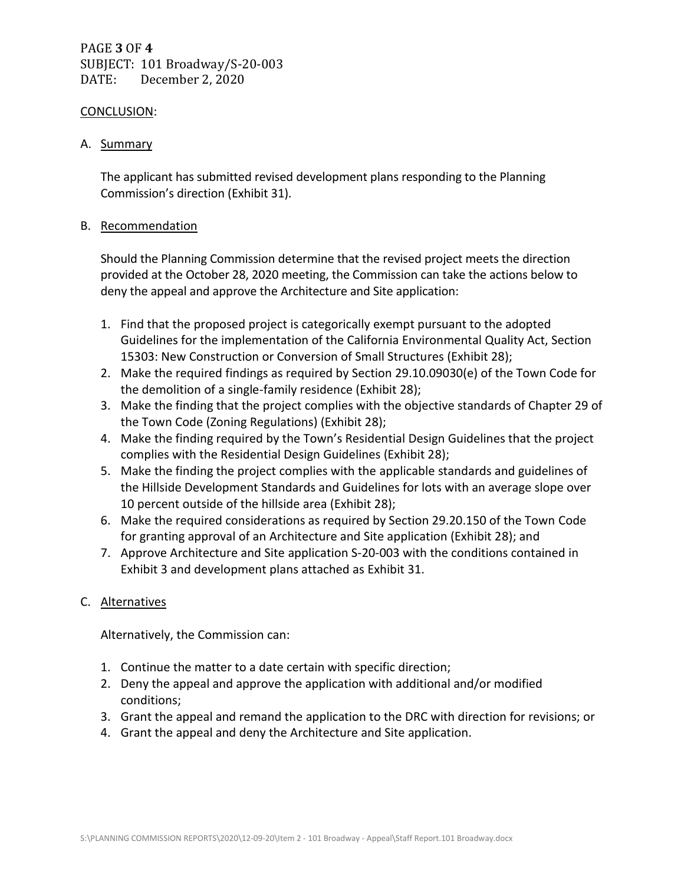PAGE **3** OF **4** SUBJECT: 101 Broadway/S-20-003 DATE: December 2, 2020

#### CONCLUSION:

A. Summary

The applicant has submitted revised development plans responding to the Planning Commission's direction (Exhibit 31).

### B. Recommendation

Should the Planning Commission determine that the revised project meets the direction provided at the October 28, 2020 meeting, the Commission can take the actions below to deny the appeal and approve the Architecture and Site application:

- 1. Find that the proposed project is categorically exempt pursuant to the adopted Guidelines for the implementation of the California Environmental Quality Act, Section 15303: New Construction or Conversion of Small Structures (Exhibit 28);
- 2. Make the required findings as required by Section 29.10.09030(e) of the Town Code for the demolition of a single-family residence (Exhibit 28);
- 3. Make the finding that the project complies with the objective standards of Chapter 29 of the Town Code (Zoning Regulations) (Exhibit 28);
- 4. Make the finding required by the Town's Residential Design Guidelines that the project complies with the Residential Design Guidelines (Exhibit 28);
- 5. Make the finding the project complies with the applicable standards and guidelines of the Hillside Development Standards and Guidelines for lots with an average slope over 10 percent outside of the hillside area (Exhibit 28);
- 6. Make the required considerations as required by Section 29.20.150 of the Town Code for granting approval of an Architecture and Site application (Exhibit 28); and
- 7. Approve Architecture and Site application S-20-003 with the conditions contained in Exhibit 3 and development plans attached as Exhibit 31.

## C. Alternatives

Alternatively, the Commission can:

- 1. Continue the matter to a date certain with specific direction;
- 2. Deny the appeal and approve the application with additional and/or modified conditions;
- 3. Grant the appeal and remand the application to the DRC with direction for revisions; or
- 4. Grant the appeal and deny the Architecture and Site application.